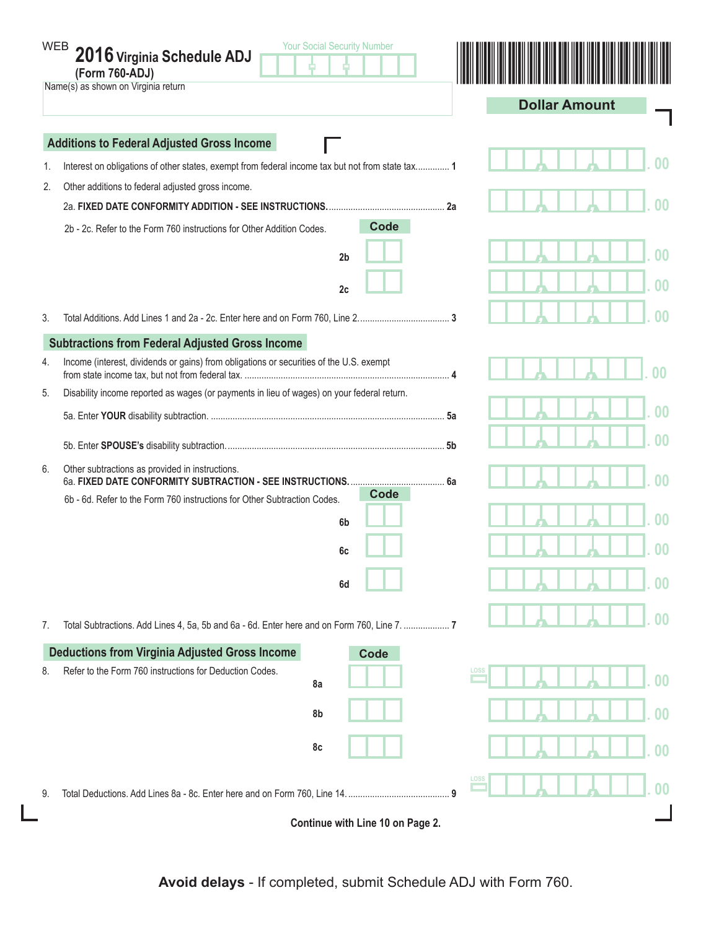|    | <b>Your Social Security Number</b><br>WEB 2016 Virginia Schedule ADJ<br>(Form 760-ADJ)<br>Name(s) as shown on Virginia return |    | <b>Dollar Amount</b>             |  |  |  |  |  |
|----|-------------------------------------------------------------------------------------------------------------------------------|----|----------------------------------|--|--|--|--|--|
|    | <b>Additions to Federal Adjusted Gross Income</b>                                                                             |    |                                  |  |  |  |  |  |
| 1. | Interest on obligations of other states, exempt from federal income tax but not from state tax 1                              |    |                                  |  |  |  |  |  |
| 2. | Other additions to federal adjusted gross income.                                                                             |    |                                  |  |  |  |  |  |
|    |                                                                                                                               | 2a |                                  |  |  |  |  |  |
|    | <b>Code</b><br>2b - 2c. Refer to the Form 760 instructions for Other Addition Codes.                                          |    |                                  |  |  |  |  |  |
|    | 2 <sub>b</sub>                                                                                                                |    | 00                               |  |  |  |  |  |
|    | 2c                                                                                                                            |    | በበ                               |  |  |  |  |  |
| 3. |                                                                                                                               |    |                                  |  |  |  |  |  |
|    | <b>Subtractions from Federal Adjusted Gross Income</b>                                                                        |    |                                  |  |  |  |  |  |
| 4. | Income (interest, dividends or gains) from obligations or securities of the U.S. exempt                                       |    |                                  |  |  |  |  |  |
| 5. | Disability income reported as wages (or payments in lieu of wages) on your federal return.                                    |    |                                  |  |  |  |  |  |
|    |                                                                                                                               |    |                                  |  |  |  |  |  |
|    |                                                                                                                               |    |                                  |  |  |  |  |  |
| 6. | Other subtractions as provided in instructions.                                                                               |    |                                  |  |  |  |  |  |
|    | Code<br>6b - 6d. Refer to the Form 760 instructions for Other Subtraction Codes.                                              |    |                                  |  |  |  |  |  |
|    | 6b                                                                                                                            |    |                                  |  |  |  |  |  |
|    | 6c                                                                                                                            |    |                                  |  |  |  |  |  |
|    | 6d                                                                                                                            |    | 00                               |  |  |  |  |  |
| 7. | Total Subtractions. Add Lines 4, 5a, 5b and 6a - 6d. Enter here and on Form 760, Line 7.  7                                   |    | 00                               |  |  |  |  |  |
|    | <b>Deductions from Virginia Adjusted Gross Income</b><br>Code                                                                 |    |                                  |  |  |  |  |  |
| 8. | Refer to the Form 760 instructions for Deduction Codes.<br>8a                                                                 |    | LOSS<br>00                       |  |  |  |  |  |
|    | 8b                                                                                                                            |    | 0 <sub>0</sub>                   |  |  |  |  |  |
|    | 8c                                                                                                                            |    | $\boldsymbol{00}$                |  |  |  |  |  |
| 9. |                                                                                                                               |    | <b>LOSS</b><br>$\boldsymbol{00}$ |  |  |  |  |  |
|    | Continue with Line 10 on Page 2.                                                                                              |    |                                  |  |  |  |  |  |

**Avoid delays** - If completed, submit Schedule ADJ with Form 760.

L